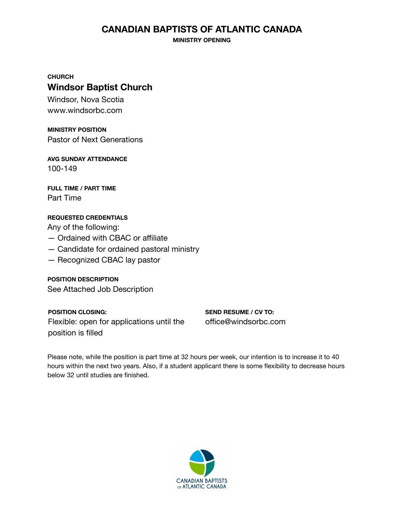#### **CANADIAN BAPTISTS OF ATLANTIC CANADA**

**MINISTRY OPENING**

**CHURCH**

#### **Windsor Baptist Church**

Windsor, Nova Scotia www.windsorbc.com

**MINISTRY POSITION** Pastor of Next Generations

**AVG SUNDAY ATTENDANCE** 100-149

**FULL TIME / PART TIME** Part Time

#### **REQUESTED CREDENTIALS**

Any of the following:

- Ordained with CBAC or affiliate
- Candidate for ordained pastoral ministry
- Recognized CBAC lay pastor

**POSITION DESCRIPTION** See Attached Job Description

**POSITION CLOSING:** Flexible: open for applications until the position is filled

**SEND RESUME / CV TO:** office@windsorbc.com

Please note, while the position is part time at 32 hours per week, our intention is to increase it to 40 hours within the next two years. Also, if a student applicant there is some flexibility to decrease hours below 32 until studies are finished.

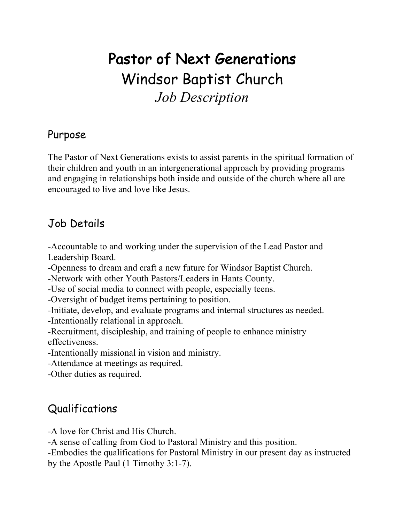# Pastor of Next Generations Windsor Baptist Church *Job Description*

#### Purpose

The Pastor of Next Generations exists to assist parents in the spiritual formation of their children and youth in an intergenerational approach by providing programs and engaging in relationships both inside and outside of the church where all are encouraged to live and love like Jesus.

## Job Details

-Accountable to and working under the supervision of the Lead Pastor and Leadership Board.

-Openness to dream and craft a new future for Windsor Baptist Church.

-Network with other Youth Pastors/Leaders in Hants County.

-Use of social media to connect with people, especially teens.

-Oversight of budget items pertaining to position.

-Initiate, develop, and evaluate programs and internal structures as needed.

-Intentionally relational in approach.

-Recruitment, discipleship, and training of people to enhance ministry effectiveness.

-Intentionally missional in vision and ministry.

-Attendance at meetings as required.

-Other duties as required.

# Qualifications

-A love for Christ and His Church.

-A sense of calling from God to Pastoral Ministry and this position.

-Embodies the qualifications for Pastoral Ministry in our present day as instructed by the Apostle Paul (1 Timothy 3:1-7).